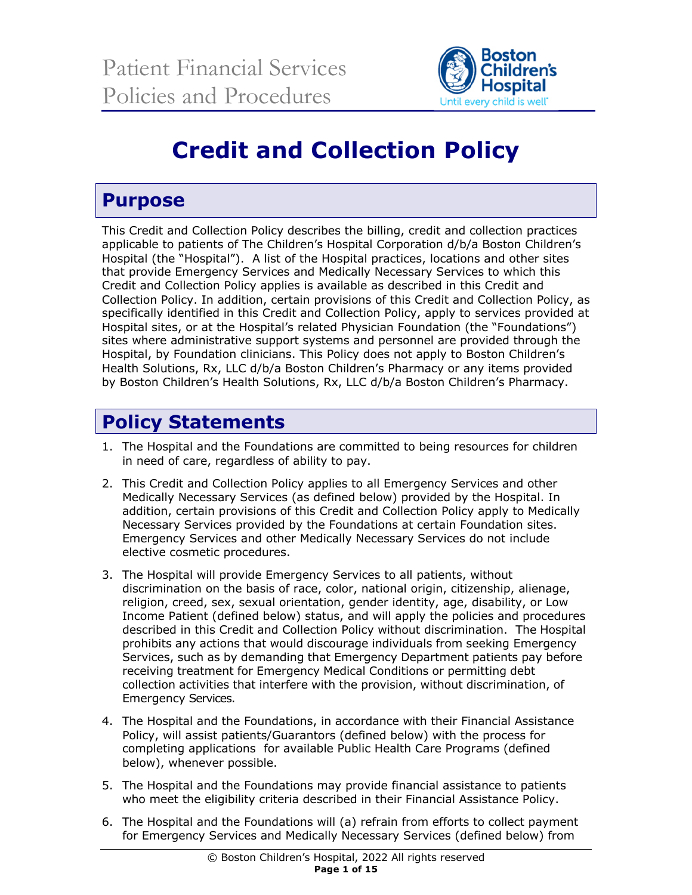

# **Credit and Collection Policy**

# **Purpose**

This Credit and Collection Policy describes the billing, credit and collection practices applicable to patients of The Children's Hospital Corporation d/b/a Boston Children's Hospital (the "Hospital"). A list of the Hospital practices, locations and other sites that provide Emergency Services and Medically Necessary Services to which this Credit and Collection Policy applies is available as described in this Credit and Collection Policy. In addition, certain provisions of this Credit and Collection Policy, as specifically identified in this Credit and Collection Policy, apply to services provided at Hospital sites, or at the Hospital's related Physician Foundation (the "Foundations") sites where administrative support systems and personnel are provided through the Hospital, by Foundation clinicians. This Policy does not apply to Boston Children's Health Solutions, Rx, LLC d/b/a Boston Children's Pharmacy or any items provided by Boston Children's Health Solutions, Rx, LLC d/b/a Boston Children's Pharmacy.

# **Policy Statements**

- 1. The Hospital and the Foundations are committed to being resources for children in need of care, regardless of ability to pay.
- 2. This Credit and Collection Policy applies to all Emergency Services and other Medically Necessary Services (as defined below) provided by the Hospital. In addition, certain provisions of this Credit and Collection Policy apply to Medically Necessary Services provided by the Foundations at certain Foundation sites. Emergency Services and other Medically Necessary Services do not include elective cosmetic procedures.
- 3. The Hospital will provide Emergency Services to all patients, without discrimination on the basis of race, color, national origin, citizenship, alienage, religion, creed, sex, sexual orientation, gender identity, age, disability, or Low Income Patient (defined below) status, and will apply the policies and procedures described in this Credit and Collection Policy without discrimination. The Hospital prohibits any actions that would discourage individuals from seeking Emergency Services, such as by demanding that Emergency Department patients pay before receiving treatment for Emergency Medical Conditions or permitting debt collection activities that interfere with the provision, without discrimination, of Emergency Services.
- 4. The Hospital and the Foundations, in accordance with their Financial Assistance Policy, will assist patients/Guarantors (defined below) with the process for completing applications for available Public Health Care Programs (defined below), whenever possible.
- 5. The Hospital and the Foundations may provide financial assistance to patients who meet the eligibility criteria described in their Financial Assistance Policy.
- 6. The Hospital and the Foundations will (a) refrain from efforts to collect payment for Emergency Services and Medically Necessary Services (defined below) from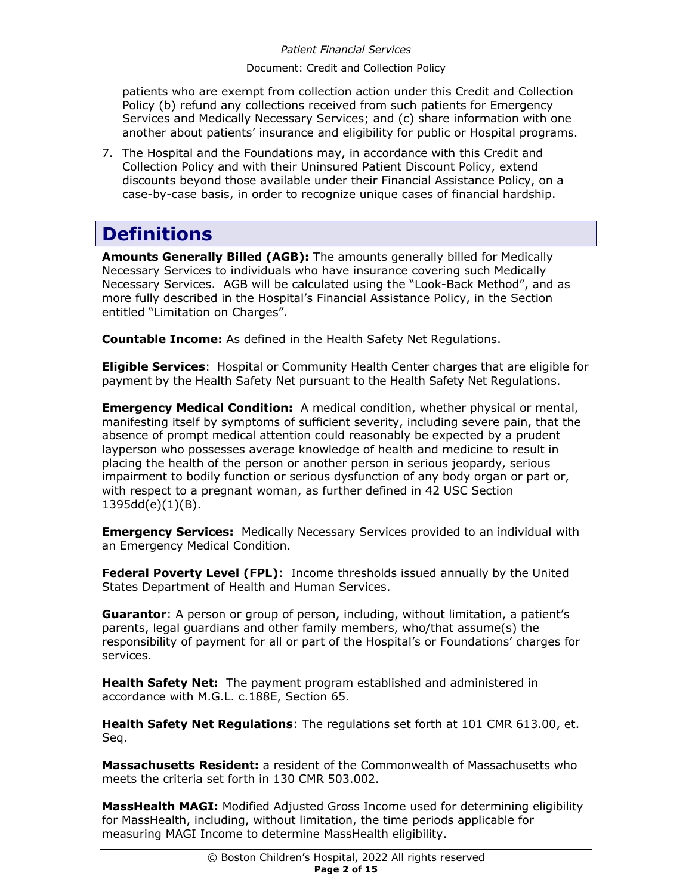patients who are exempt from collection action under this Credit and Collection Policy (b) refund any collections received from such patients for Emergency Services and Medically Necessary Services; and (c) share information with one another about patients' insurance and eligibility for public or Hospital programs.

7. The Hospital and the Foundations may, in accordance with this Credit and Collection Policy and with their Uninsured Patient Discount Policy, extend discounts beyond those available under their Financial Assistance Policy, on a case-by-case basis, in order to recognize unique cases of financial hardship.

# **Definitions**

**Amounts Generally Billed (AGB):** The amounts generally billed for Medically Necessary Services to individuals who have insurance covering such Medically Necessary Services. AGB will be calculated using the "Look-Back Method", and as more fully described in the Hospital's Financial Assistance Policy, in the Section entitled "Limitation on Charges".

**Countable Income:** As defined in the Health Safety Net Regulations.

**Eligible Services**: Hospital or Community Health Center charges that are eligible for payment by the Health Safety Net pursuant to the Health Safety Net Regulations.

**Emergency Medical Condition:** A medical condition, whether physical or mental, manifesting itself by symptoms of sufficient severity, including severe pain, that the absence of prompt medical attention could reasonably be expected by a prudent layperson who possesses average knowledge of health and medicine to result in placing the health of the person or another person in serious jeopardy, serious impairment to bodily function or serious dysfunction of any body organ or part or, with respect to a pregnant woman, as further defined in 42 USC Section 1395dd(e)(1)(B).

**Emergency Services:** Medically Necessary Services provided to an individual with an Emergency Medical Condition.

**Federal Poverty Level (FPL)**: Income thresholds issued annually by the United States Department of Health and Human Services.

**Guarantor**: A person or group of person, including, without limitation, a patient's parents, legal guardians and other family members, who/that assume(s) the responsibility of payment for all or part of the Hospital's or Foundations' charges for services.

**Health Safety Net:** The payment program established and administered in accordance with M.G.L. c.188E, Section 65.

**Health Safety Net Regulations**: The regulations set forth at 101 CMR 613.00, et. Seq.

**Massachusetts Resident:** a resident of the Commonwealth of Massachusetts who meets the criteria set forth in 130 CMR 503.002.

**MassHealth MAGI:** Modified Adjusted Gross Income used for determining eligibility for MassHealth, including, without limitation, the time periods applicable for measuring MAGI Income to determine MassHealth eligibility.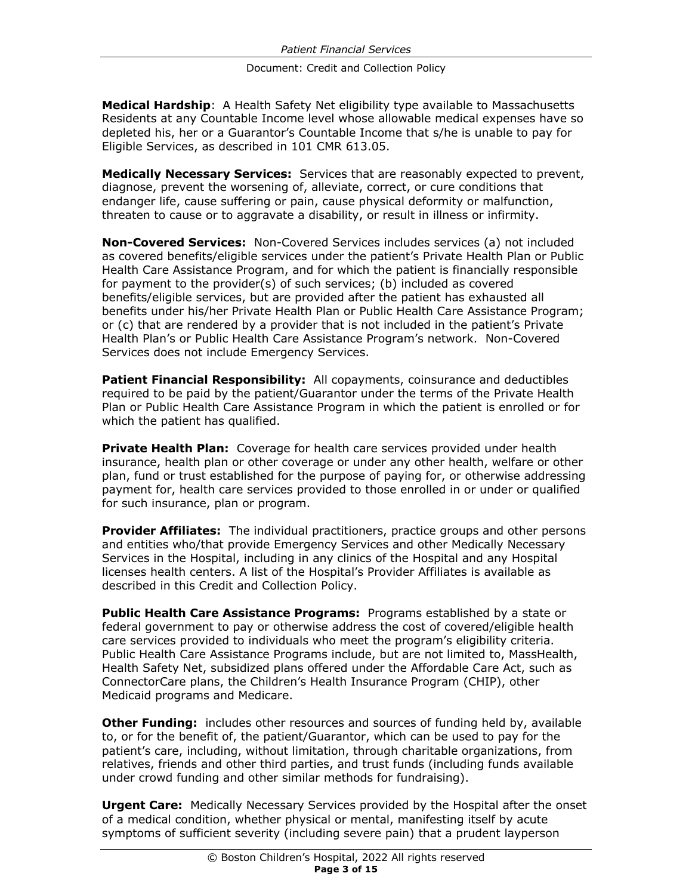**Medical Hardship**: A Health Safety Net eligibility type available to Massachusetts Residents at any Countable Income level whose allowable medical expenses have so depleted his, her or a Guarantor's Countable Income that s/he is unable to pay for Eligible Services, as described in 101 CMR 613.05.

**Medically Necessary Services:** Services that are reasonably expected to prevent, diagnose, prevent the worsening of, alleviate, correct, or cure conditions that endanger life, cause suffering or pain, cause physical deformity or malfunction, threaten to cause or to aggravate a disability, or result in illness or infirmity.

**Non-Covered Services:** Non-Covered Services includes services (a) not included as covered benefits/eligible services under the patient's Private Health Plan or Public Health Care Assistance Program, and for which the patient is financially responsible for payment to the provider(s) of such services; (b) included as covered benefits/eligible services, but are provided after the patient has exhausted all benefits under his/her Private Health Plan or Public Health Care Assistance Program; or (c) that are rendered by a provider that is not included in the patient's Private Health Plan's or Public Health Care Assistance Program's network. Non-Covered Services does not include Emergency Services.

**Patient Financial Responsibility:** All copayments, coinsurance and deductibles required to be paid by the patient/Guarantor under the terms of the Private Health Plan or Public Health Care Assistance Program in which the patient is enrolled or for which the patient has qualified.

**Private Health Plan:** Coverage for health care services provided under health insurance, health plan or other coverage or under any other health, welfare or other plan, fund or trust established for the purpose of paying for, or otherwise addressing payment for, health care services provided to those enrolled in or under or qualified for such insurance, plan or program.

**Provider Affiliates:** The individual practitioners, practice groups and other persons and entities who/that provide Emergency Services and other Medically Necessary Services in the Hospital, including in any clinics of the Hospital and any Hospital licenses health centers. A list of the Hospital's Provider Affiliates is available as described in this Credit and Collection Policy.

**Public Health Care Assistance Programs:** Programs established by a state or federal government to pay or otherwise address the cost of covered/eligible health care services provided to individuals who meet the program's eligibility criteria. Public Health Care Assistance Programs include, but are not limited to, MassHealth, Health Safety Net, subsidized plans offered under the Affordable Care Act, such as ConnectorCare plans, the Children's Health Insurance Program (CHIP), other Medicaid programs and Medicare.

**Other Funding:** includes other resources and sources of funding held by, available to, or for the benefit of, the patient/Guarantor, which can be used to pay for the patient's care, including, without limitation, through charitable organizations, from relatives, friends and other third parties, and trust funds (including funds available under crowd funding and other similar methods for fundraising).

**Urgent Care:** Medically Necessary Services provided by the Hospital after the onset of a medical condition, whether physical or mental, manifesting itself by acute symptoms of sufficient severity (including severe pain) that a prudent layperson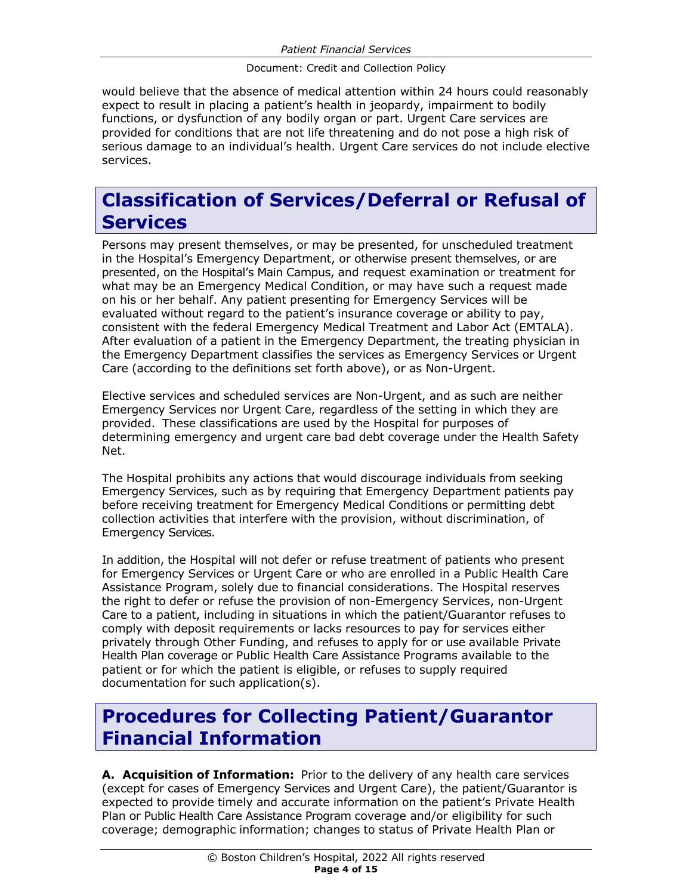would believe that the absence of medical attention within 24 hours could reasonably expect to result in placing a patient's health in jeopardy, impairment to bodily functions, or dysfunction of any bodily organ or part. Urgent Care services are provided for conditions that are not life threatening and do not pose a high risk of serious damage to an individual's health. Urgent Care services do not include elective services.

## **Classification of Services/Deferral or Refusal of Services**

Persons may present themselves, or may be presented, for unscheduled treatment in the Hospital's Emergency Department, or otherwise present themselves, or are presented, on the Hospital's Main Campus, and request examination or treatment for what may be an Emergency Medical Condition, or may have such a request made on his or her behalf. Any patient presenting for Emergency Services will be evaluated without regard to the patient's insurance coverage or ability to pay, consistent with the federal Emergency Medical Treatment and Labor Act (EMTALA). After evaluation of a patient in the Emergency Department, the treating physician in the Emergency Department classifies the services as Emergency Services or Urgent Care (according to the definitions set forth above), or as Non-Urgent.

Elective services and scheduled services are Non-Urgent, and as such are neither Emergency Services nor Urgent Care, regardless of the setting in which they are provided. These classifications are used by the Hospital for purposes of determining emergency and urgent care bad debt coverage under the Health Safety Net.

The Hospital prohibits any actions that would discourage individuals from seeking Emergency Services, such as by requiring that Emergency Department patients pay before receiving treatment for Emergency Medical Conditions or permitting debt collection activities that interfere with the provision, without discrimination, of Emergency Services.

In addition, the Hospital will not defer or refuse treatment of patients who present for Emergency Services or Urgent Care or who are enrolled in a Public Health Care Assistance Program, solely due to financial considerations. The Hospital reserves the right to defer or refuse the provision of non-Emergency Services, non-Urgent Care to a patient, including in situations in which the patient/Guarantor refuses to comply with deposit requirements or lacks resources to pay for services either privately through Other Funding, and refuses to apply for or use available Private Health Plan coverage or Public Health Care Assistance Programs available to the patient or for which the patient is eligible, or refuses to supply required documentation for such application(s).

### **Procedures for Collecting Patient/Guarantor Financial Information**

**A. Acquisition of Information:** Prior to the delivery of any health care services (except for cases of Emergency Services and Urgent Care), the patient/Guarantor is expected to provide timely and accurate information on the patient's Private Health Plan or Public Health Care Assistance Program coverage and/or eligibility for such coverage; demographic information; changes to status of Private Health Plan or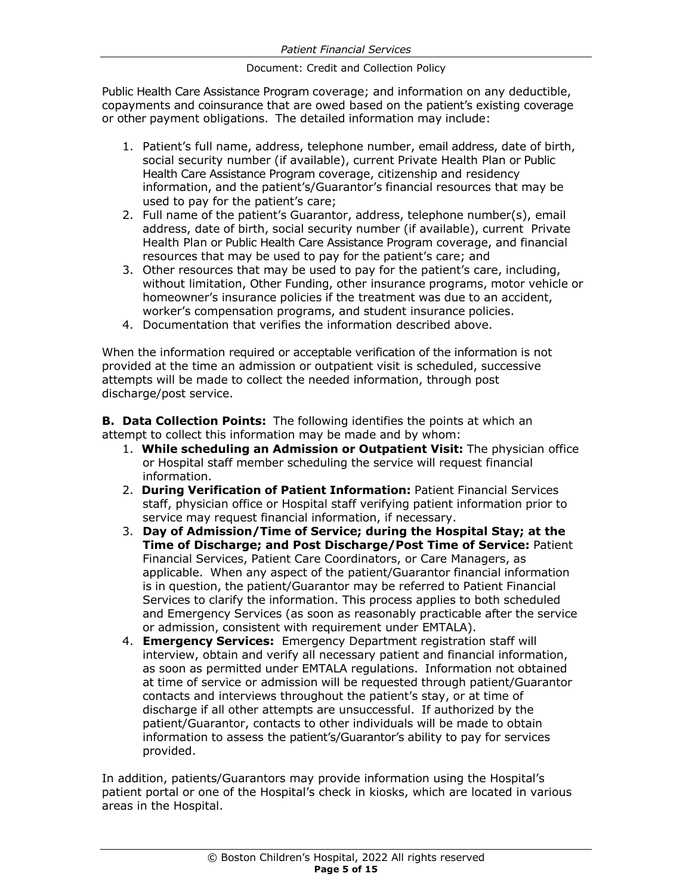Public Health Care Assistance Program coverage; and information on any deductible, copayments and coinsurance that are owed based on the patient's existing coverage or other payment obligations. The detailed information may include:

- 1. Patient's full name, address, telephone number, email address, date of birth, social security number (if available), current Private Health Plan or Public Health Care Assistance Program coverage, citizenship and residency information, and the patient's/Guarantor's financial resources that may be used to pay for the patient's care;
- 2. Full name of the patient's Guarantor, address, telephone number(s), email address, date of birth, social security number (if available), current Private Health Plan or Public Health Care Assistance Program coverage, and financial resources that may be used to pay for the patient's care; and
- 3. Other resources that may be used to pay for the patient's care, including, without limitation, Other Funding, other insurance programs, motor vehicle or homeowner's insurance policies if the treatment was due to an accident, worker's compensation programs, and student insurance policies.
- 4. Documentation that verifies the information described above.

When the information required or acceptable verification of the information is not provided at the time an admission or outpatient visit is scheduled, successive attempts will be made to collect the needed information, through post discharge/post service.

**B. Data Collection Points:** The following identifies the points at which an attempt to collect this information may be made and by whom:

- 1. **While scheduling an Admission or Outpatient Visit:** The physician office or Hospital staff member scheduling the service will request financial information.
- 2. **During Verification of Patient Information:** Patient Financial Services staff, physician office or Hospital staff verifying patient information prior to service may request financial information, if necessary.
- 3. **Day of Admission/Time of Service; during the Hospital Stay; at the Time of Discharge; and Post Discharge/Post Time of Service:** Patient Financial Services, Patient Care Coordinators, or Care Managers, as applicable. When any aspect of the patient/Guarantor financial information is in question, the patient/Guarantor may be referred to Patient Financial Services to clarify the information. This process applies to both scheduled and Emergency Services (as soon as reasonably practicable after the service or admission, consistent with requirement under EMTALA).
- 4. **Emergency Services:** Emergency Department registration staff will interview, obtain and verify all necessary patient and financial information, as soon as permitted under EMTALA regulations. Information not obtained at time of service or admission will be requested through patient/Guarantor contacts and interviews throughout the patient's stay, or at time of discharge if all other attempts are unsuccessful. If authorized by the patient/Guarantor, contacts to other individuals will be made to obtain information to assess the patient's/Guarantor's ability to pay for services provided.

In addition, patients/Guarantors may provide information using the Hospital's patient portal or one of the Hospital's check in kiosks, which are located in various areas in the Hospital.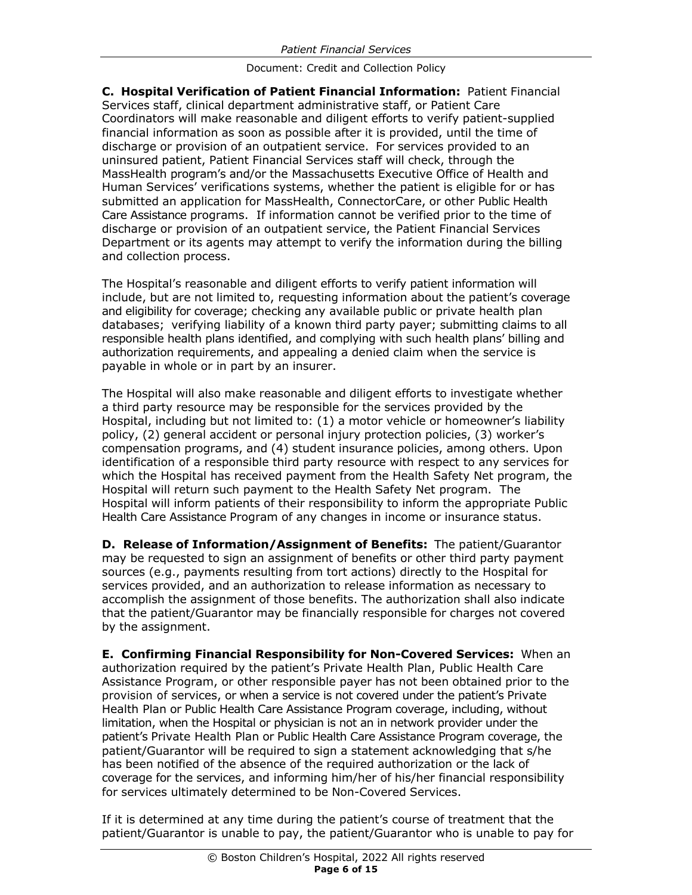**C. Hospital Verification of Patient Financial Information:** Patient Financial Services staff, clinical department administrative staff, or Patient Care Coordinators will make reasonable and diligent efforts to verify patient-supplied financial information as soon as possible after it is provided, until the time of discharge or provision of an outpatient service. For services provided to an uninsured patient, Patient Financial Services staff will check, through the MassHealth program's and/or the Massachusetts Executive Office of Health and Human Services' verifications systems, whether the patient is eligible for or has submitted an application for MassHealth, ConnectorCare, or other Public Health Care Assistance programs. If information cannot be verified prior to the time of discharge or provision of an outpatient service, the Patient Financial Services Department or its agents may attempt to verify the information during the billing and collection process.

The Hospital's reasonable and diligent efforts to verify patient information will include, but are not limited to, requesting information about the patient's coverage and eligibility for coverage; checking any available public or private health plan databases; verifying liability of a known third party payer; submitting claims to all responsible health plans identified, and complying with such health plans' billing and authorization requirements, and appealing a denied claim when the service is payable in whole or in part by an insurer.

The Hospital will also make reasonable and diligent efforts to investigate whether a third party resource may be responsible for the services provided by the Hospital, including but not limited to: (1) a motor vehicle or homeowner's liability policy, (2) general accident or personal injury protection policies, (3) worker's compensation programs, and (4) student insurance policies, among others. Upon identification of a responsible third party resource with respect to any services for which the Hospital has received payment from the Health Safety Net program, the Hospital will return such payment to the Health Safety Net program. The Hospital will inform patients of their responsibility to inform the appropriate Public Health Care Assistance Program of any changes in income or insurance status.

**D. Release of Information/Assignment of Benefits:** The patient/Guarantor may be requested to sign an assignment of benefits or other third party payment sources (e.g., payments resulting from tort actions) directly to the Hospital for services provided, and an authorization to release information as necessary to accomplish the assignment of those benefits. The authorization shall also indicate that the patient/Guarantor may be financially responsible for charges not covered by the assignment.

**E. Confirming Financial Responsibility for Non-Covered Services:** When an authorization required by the patient's Private Health Plan, Public Health Care Assistance Program, or other responsible payer has not been obtained prior to the provision of services, or when a service is not covered under the patient's Private Health Plan or Public Health Care Assistance Program coverage, including, without limitation, when the Hospital or physician is not an in network provider under the patient's Private Health Plan or Public Health Care Assistance Program coverage, the patient/Guarantor will be required to sign a statement acknowledging that s/he has been notified of the absence of the required authorization or the lack of coverage for the services, and informing him/her of his/her financial responsibility for services ultimately determined to be Non-Covered Services.

If it is determined at any time during the patient's course of treatment that the patient/Guarantor is unable to pay, the patient/Guarantor who is unable to pay for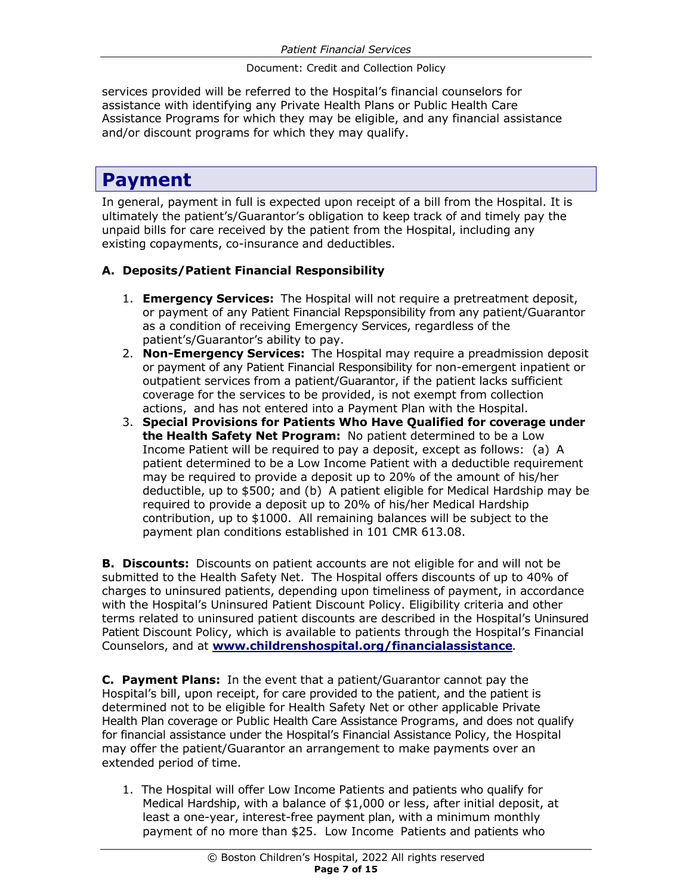services provided will be referred to the Hospital's financial counselors for assistance with identifying any Private Health Plans or Public Health Care Assistance Programs for which they may be eligible, and any financial assistance and/or discount programs for which they may qualify.

# **Payment**

In general, payment in full is expected upon receipt of a bill from the Hospital. It is ultimately the patient's/Guarantor's obligation to keep track of and timely pay the unpaid bills for care received by the patient from the Hospital, including any existing copayments, co-insurance and deductibles.

#### **A. Deposits/Patient Financial Responsibility**

- 1. **Emergency Services:** The Hospital will not require a pretreatment deposit, or payment of any Patient Financial Repsponsibility from any patient/Guarantor as a condition of receiving Emergency Services, regardless of the patient's/Guarantor's ability to pay.
- 2. **Non-Emergency Services:** The Hospital may require a preadmission deposit or payment of any Patient Financial Responsibility for non-emergent inpatient or outpatient services from a patient/Guarantor, if the patient lacks sufficient coverage for the services to be provided, is not exempt from collection actions, and has not entered into a Payment Plan with the Hospital.
- 3. **Special Provisions for Patients Who Have Qualified for coverage under the Health Safety Net Program:** No patient determined to be a Low Income Patient will be required to pay a deposit, except as follows: (a) A patient determined to be a Low Income Patient with a deductible requirement may be required to provide a deposit up to 20% of the amount of his/her deductible, up to \$500; and (b) A patient eligible for Medical Hardship may be required to provide a deposit up to 20% of his/her Medical Hardship contribution, up to \$1000. All remaining balances will be subject to the payment plan conditions established in 101 CMR 613.08.

**B. Discounts:** Discounts on patient accounts are not eligible for and will not be submitted to the Health Safety Net. The Hospital offers discounts of up to 40% of charges to uninsured patients, depending upon timeliness of payment, in accordance with the Hospital's Uninsured Patient Discount Policy. Eligibility criteria and other terms related to uninsured patient discounts are described in the Hospital's Uninsured Patient Discount Policy, which is available to patients through the Hospital's Financial Counselors, and at **www.childrenshospital.org/financialassistance***.*

**C. Payment Plans:** In the event that a patient/Guarantor cannot pay the Hospital's bill, upon receipt, for care provided to the patient, and the patient is determined not to be eligible for Health Safety Net or other applicable Private Health Plan coverage or Public Health Care Assistance Programs, and does not qualify for financial assistance under the Hospital's Financial Assistance Policy, the Hospital may offer the patient/Guarantor an arrangement to make payments over an extended period of time.

1. The Hospital will offer Low Income Patients and patients who qualify for Medical Hardship, with a balance of \$1,000 or less, after initial deposit, at least a one-year, interest-free payment plan, with a minimum monthly payment of no more than \$25. Low Income Patients and patients who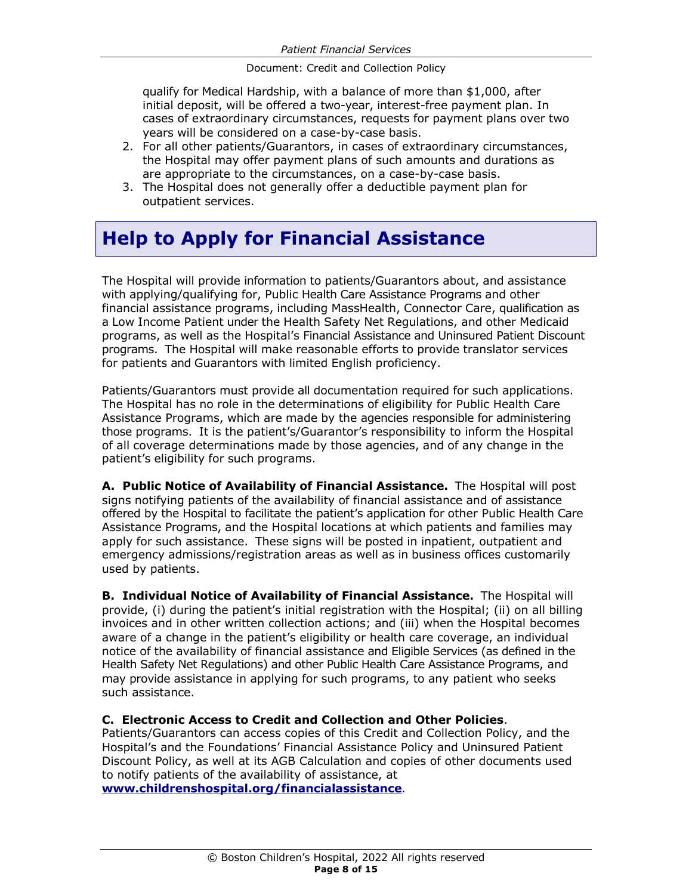qualify for Medical Hardship, with a balance of more than \$1,000, after initial deposit, will be offered a two-year, interest-free payment plan. In cases of extraordinary circumstances, requests for payment plans over two years will be considered on a case-by-case basis.

- 2. For all other patients/Guarantors, in cases of extraordinary circumstances, the Hospital may offer payment plans of such amounts and durations as are appropriate to the circumstances, on a case-by-case basis.
- 3. The Hospital does not generally offer a deductible payment plan for outpatient services.

# **Help to Apply for Financial Assistance**

The Hospital will provide information to patients/Guarantors about, and assistance with applying/qualifying for, Public Health Care Assistance Programs and other financial assistance programs, including MassHealth, Connector Care, qualification as a Low Income Patient under the Health Safety Net Regulations, and other Medicaid programs, as well as the Hospital's Financial Assistance and Uninsured Patient Discount programs. The Hospital will make reasonable efforts to provide translator services for patients and Guarantors with limited English proficiency.

Patients/Guarantors must provide all documentation required for such applications. The Hospital has no role in the determinations of eligibility for Public Health Care Assistance Programs, which are made by the agencies responsible for administering those programs. It is the patient's/Guarantor's responsibility to inform the Hospital of all coverage determinations made by those agencies, and of any change in the patient's eligibility for such programs.

**A. Public Notice of Availability of Financial Assistance.** The Hospital will post signs notifying patients of the availability of financial assistance and of assistance offered by the Hospital to facilitate the patient's application for other Public Health Care Assistance Programs, and the Hospital locations at which patients and families may apply for such assistance. These signs will be posted in inpatient, outpatient and emergency admissions/registration areas as well as in business offices customarily used by patients.

**B. Individual Notice of Availability of Financial Assistance.** The Hospital will provide, (i) during the patient's initial registration with the Hospital; (ii) on all billing invoices and in other written collection actions; and (iii) when the Hospital becomes aware of a change in the patient's eligibility or health care coverage, an individual notice of the availability of financial assistance and Eligible Services (as defined in the Health Safety Net Regulations) and other Public Health Care Assistance Programs, and may provide assistance in applying for such programs, to any patient who seeks such assistance.

#### **C. Electronic Access to Credit and Collection and Other Policies**.

Patients/Guarantors can access copies of this Credit and Collection Policy, and the Hospital's and the Foundations' Financial Assistance Policy and Uninsured Patient Discount Policy, as well at its AGB Calculation and copies of other documents used to notify patients of the availability of assistance, at

**www.childrenshospital.org/financialassistance***.*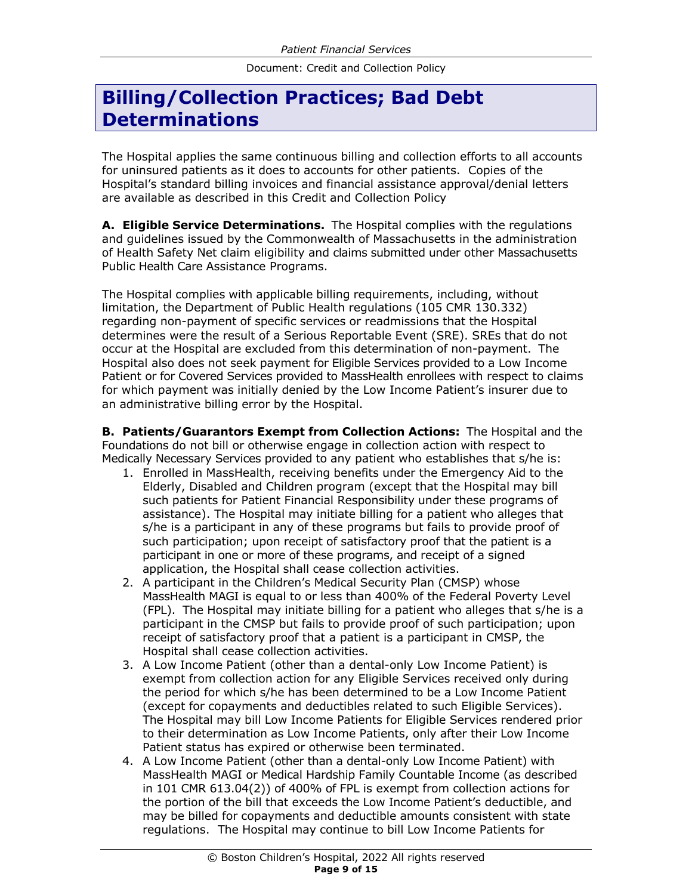# **Billing/Collection Practices; Bad Debt Determinations**

The Hospital applies the same continuous billing and collection efforts to all accounts for uninsured patients as it does to accounts for other patients. Copies of the Hospital's standard billing invoices and financial assistance approval/denial letters are available as described in this Credit and Collection Policy

**A. Eligible Service Determinations.** The Hospital complies with the regulations and guidelines issued by the Commonwealth of Massachusetts in the administration of Health Safety Net claim eligibility and claims submitted under other Massachusetts Public Health Care Assistance Programs.

The Hospital complies with applicable billing requirements, including, without limitation, the Department of Public Health regulations (105 CMR 130.332) regarding non-payment of specific services or readmissions that the Hospital determines were the result of a Serious Reportable Event (SRE). SREs that do not occur at the Hospital are excluded from this determination of non-payment. The Hospital also does not seek payment for Eligible Services provided to a Low Income Patient or for Covered Services provided to MassHealth enrollees with respect to claims for which payment was initially denied by the Low Income Patient's insurer due to an administrative billing error by the Hospital.

**B. Patients/Guarantors Exempt from Collection Actions:** The Hospital and the Foundations do not bill or otherwise engage in collection action with respect to Medically Necessary Services provided to any patient who establishes that s/he is:

- 1. Enrolled in MassHealth, receiving benefits under the Emergency Aid to the Elderly, Disabled and Children program (except that the Hospital may bill such patients for Patient Financial Responsibility under these programs of assistance). The Hospital may initiate billing for a patient who alleges that s/he is a participant in any of these programs but fails to provide proof of such participation; upon receipt of satisfactory proof that the patient is a participant in one or more of these programs, and receipt of a signed application, the Hospital shall cease collection activities.
- 2. A participant in the Children's Medical Security Plan (CMSP) whose MassHealth MAGI is equal to or less than 400% of the Federal Poverty Level (FPL). The Hospital may initiate billing for a patient who alleges that s/he is a participant in the CMSP but fails to provide proof of such participation; upon receipt of satisfactory proof that a patient is a participant in CMSP, the Hospital shall cease collection activities.
- 3. A Low Income Patient (other than a dental-only Low Income Patient) is exempt from collection action for any Eligible Services received only during the period for which s/he has been determined to be a Low Income Patient (except for copayments and deductibles related to such Eligible Services). The Hospital may bill Low Income Patients for Eligible Services rendered prior to their determination as Low Income Patients, only after their Low Income Patient status has expired or otherwise been terminated.
- 4. A Low Income Patient (other than a dental-only Low Income Patient) with MassHealth MAGI or Medical Hardship Family Countable Income (as described in 101 CMR 613.04(2)) of 400% of FPL is exempt from collection actions for the portion of the bill that exceeds the Low Income Patient's deductible, and may be billed for copayments and deductible amounts consistent with state regulations. The Hospital may continue to bill Low Income Patients for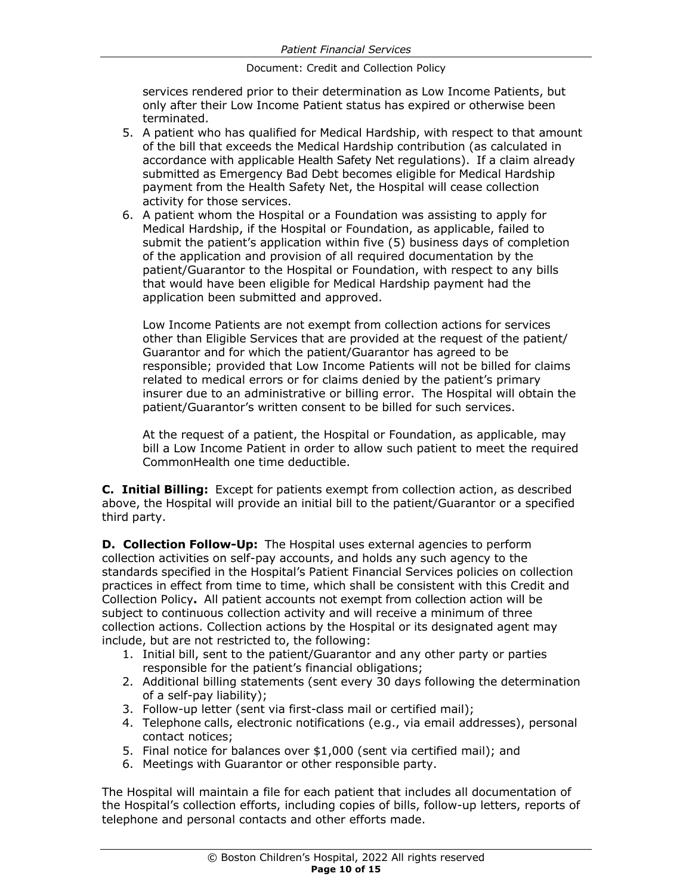services rendered prior to their determination as Low Income Patients, but only after their Low Income Patient status has expired or otherwise been terminated.

- 5. A patient who has qualified for Medical Hardship, with respect to that amount of the bill that exceeds the Medical Hardship contribution (as calculated in accordance with applicable Health Safety Net regulations). If a claim already submitted as Emergency Bad Debt becomes eligible for Medical Hardship payment from the Health Safety Net, the Hospital will cease collection activity for those services.
- 6. A patient whom the Hospital or a Foundation was assisting to apply for Medical Hardship, if the Hospital or Foundation, as applicable, failed to submit the patient's application within five (5) business days of completion of the application and provision of all required documentation by the patient/Guarantor to the Hospital or Foundation, with respect to any bills that would have been eligible for Medical Hardship payment had the application been submitted and approved.

Low Income Patients are not exempt from collection actions for services other than Eligible Services that are provided at the request of the patient/ Guarantor and for which the patient/Guarantor has agreed to be responsible; provided that Low Income Patients will not be billed for claims related to medical errors or for claims denied by the patient's primary insurer due to an administrative or billing error. The Hospital will obtain the patient/Guarantor's written consent to be billed for such services.

At the request of a patient, the Hospital or Foundation, as applicable, may bill a Low Income Patient in order to allow such patient to meet the required CommonHealth one time deductible.

**C. Initial Billing:** Except for patients exempt from collection action, as described above, the Hospital will provide an initial bill to the patient/Guarantor or a specified third party.

**D. Collection Follow-Up:** The Hospital uses external agencies to perform collection activities on self-pay accounts, and holds any such agency to the standards specified in the Hospital's Patient Financial Services policies on collection practices in effect from time to time, which shall be consistent with this Credit and Collection Policy**.** All patient accounts not exempt from collection action will be subject to continuous collection activity and will receive a minimum of three collection actions. Collection actions by the Hospital or its designated agent may include, but are not restricted to, the following:

- 1. Initial bill, sent to the patient/Guarantor and any other party or parties responsible for the patient's financial obligations;
- 2. Additional billing statements (sent every 30 days following the determination of a self-pay liability);
- 3. Follow-up letter (sent via first-class mail or certified mail);
- 4. Telephone calls, electronic notifications (e.g., via email addresses), personal contact notices;
- 5. Final notice for balances over \$1,000 (sent via certified mail); and
- 6. Meetings with Guarantor or other responsible party.

The Hospital will maintain a file for each patient that includes all documentation of the Hospital's collection efforts, including copies of bills, follow-up letters, reports of telephone and personal contacts and other efforts made.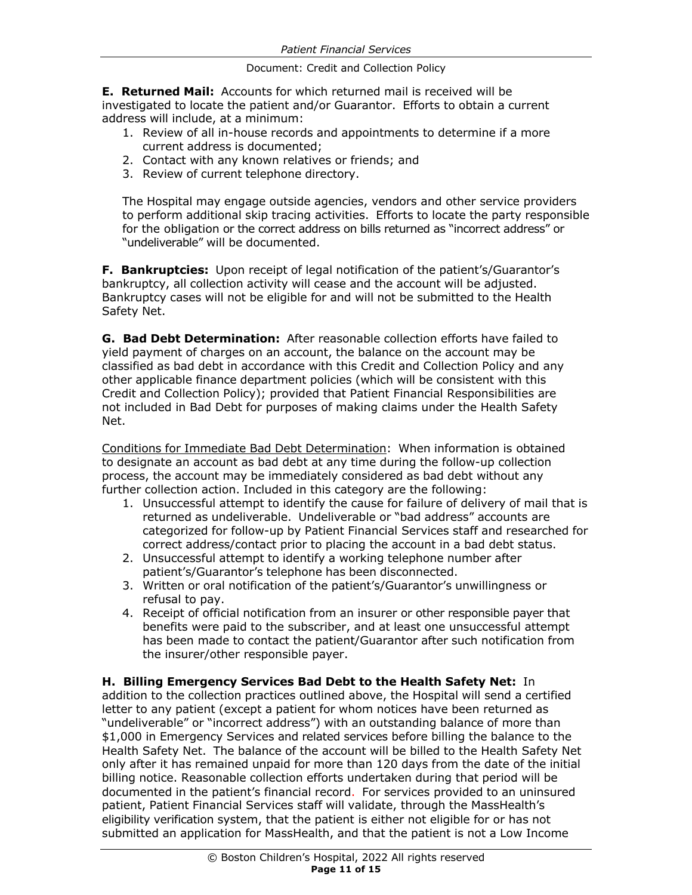**E. Returned Mail:** Accounts for which returned mail is received will be investigated to locate the patient and/or Guarantor. Efforts to obtain a current address will include, at a minimum:

- 1. Review of all in-house records and appointments to determine if a more current address is documented;
- 2. Contact with any known relatives or friends; and
- 3. Review of current telephone directory.

The Hospital may engage outside agencies, vendors and other service providers to perform additional skip tracing activities. Efforts to locate the party responsible for the obligation or the correct address on bills returned as "incorrect address" or "undeliverable" will be documented.

**F. Bankruptcies:** Upon receipt of legal notification of the patient's/Guarantor's bankruptcy, all collection activity will cease and the account will be adjusted. Bankruptcy cases will not be eligible for and will not be submitted to the Health Safety Net.

**G. Bad Debt Determination:** After reasonable collection efforts have failed to yield payment of charges on an account, the balance on the account may be classified as bad debt in accordance with this Credit and Collection Policy and any other applicable finance department policies (which will be consistent with this Credit and Collection Policy); provided that Patient Financial Responsibilities are not included in Bad Debt for purposes of making claims under the Health Safety Net.

Conditions for Immediate Bad Debt Determination: When information is obtained to designate an account as bad debt at any time during the follow-up collection process, the account may be immediately considered as bad debt without any further collection action. Included in this category are the following:

- 1. Unsuccessful attempt to identify the cause for failure of delivery of mail that is returned as undeliverable. Undeliverable or "bad address" accounts are categorized for follow-up by Patient Financial Services staff and researched for correct address/contact prior to placing the account in a bad debt status.
- 2. Unsuccessful attempt to identify a working telephone number after patient's/Guarantor's telephone has been disconnected.
- 3. Written or oral notification of the patient's/Guarantor's unwillingness or refusal to pay.
- 4. Receipt of official notification from an insurer or other responsible payer that benefits were paid to the subscriber, and at least one unsuccessful attempt has been made to contact the patient/Guarantor after such notification from the insurer/other responsible payer.

#### **H. Billing Emergency Services Bad Debt to the Health Safety Net:** In

addition to the collection practices outlined above, the Hospital will send a certified letter to any patient (except a patient for whom notices have been returned as "undeliverable" or "incorrect address") with an outstanding balance of more than \$1,000 in Emergency Services and related services before billing the balance to the Health Safety Net. The balance of the account will be billed to the Health Safety Net only after it has remained unpaid for more than 120 days from the date of the initial billing notice. Reasonable collection efforts undertaken during that period will be documented in the patient's financial record. For services provided to an uninsured patient, Patient Financial Services staff will validate, through the MassHealth's eligibility verification system, that the patient is either not eligible for or has not submitted an application for MassHealth, and that the patient is not a Low Income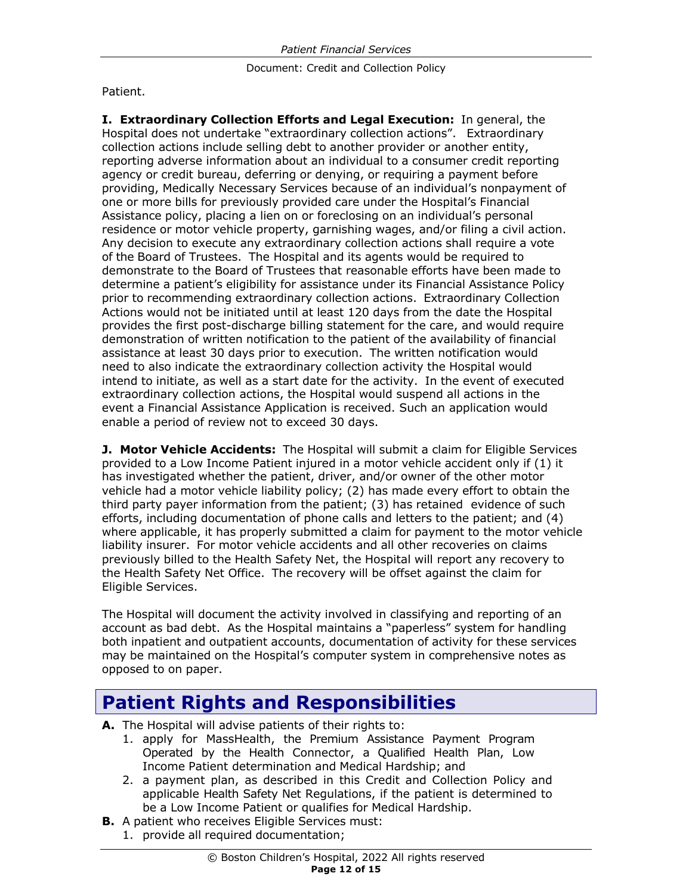Patient.

**I. Extraordinary Collection Efforts and Legal Execution:** In general, the Hospital does not undertake "extraordinary collection actions". Extraordinary collection actions include selling debt to another provider or another entity, reporting adverse information about an individual to a consumer credit reporting agency or credit bureau, deferring or denying, or requiring a payment before providing, Medically Necessary Services because of an individual's nonpayment of one or more bills for previously provided care under the Hospital's Financial Assistance policy, placing a lien on or foreclosing on an individual's personal residence or motor vehicle property, garnishing wages, and/or filing a civil action. Any decision to execute any extraordinary collection actions shall require a vote of the Board of Trustees. The Hospital and its agents would be required to demonstrate to the Board of Trustees that reasonable efforts have been made to determine a patient's eligibility for assistance under its Financial Assistance Policy prior to recommending extraordinary collection actions. Extraordinary Collection Actions would not be initiated until at least 120 days from the date the Hospital provides the first post-discharge billing statement for the care, and would require demonstration of written notification to the patient of the availability of financial assistance at least 30 days prior to execution. The written notification would need to also indicate the extraordinary collection activity the Hospital would intend to initiate, as well as a start date for the activity. In the event of executed extraordinary collection actions, the Hospital would suspend all actions in the event a Financial Assistance Application is received. Such an application would enable a period of review not to exceed 30 days.

**J. Motor Vehicle Accidents:** The Hospital will submit a claim for Eligible Services provided to a Low Income Patient injured in a motor vehicle accident only if (1) it has investigated whether the patient, driver, and/or owner of the other motor vehicle had a motor vehicle liability policy; (2) has made every effort to obtain the third party payer information from the patient; (3) has retained evidence of such efforts, including documentation of phone calls and letters to the patient; and (4) where applicable, it has properly submitted a claim for payment to the motor vehicle liability insurer. For motor vehicle accidents and all other recoveries on claims previously billed to the Health Safety Net, the Hospital will report any recovery to the Health Safety Net Office. The recovery will be offset against the claim for Eligible Services.

The Hospital will document the activity involved in classifying and reporting of an account as bad debt. As the Hospital maintains a "paperless" system for handling both inpatient and outpatient accounts, documentation of activity for these services may be maintained on the Hospital's computer system in comprehensive notes as opposed to on paper.

### **Patient Rights and Responsibilities**

- **A.** The Hospital will advise patients of their rights to:
	- 1. apply for MassHealth, the Premium Assistance Payment Program Operated by the Health Connector, a Qualified Health Plan, Low Income Patient determination and Medical Hardship; and
	- 2. a payment plan, as described in this Credit and Collection Policy and applicable Health Safety Net Regulations, if the patient is determined to be a Low Income Patient or qualifies for Medical Hardship.
- **B.** A patient who receives Eligible Services must:
- 1. provide all required documentation;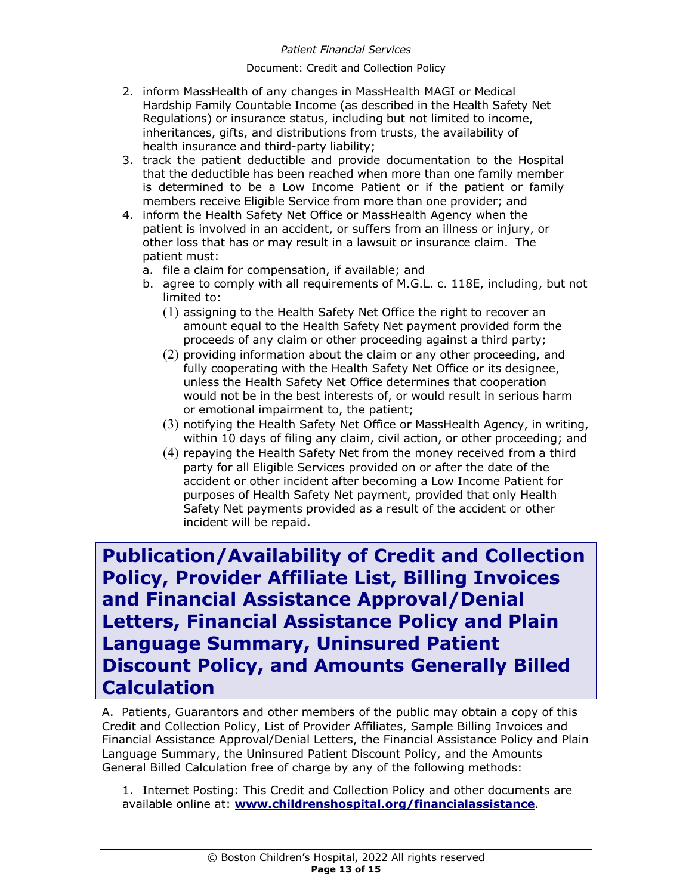- 2. inform MassHealth of any changes in MassHealth MAGI or Medical Hardship Family Countable Income (as described in the Health Safety Net Regulations) or insurance status, including but not limited to income, inheritances, gifts, and distributions from trusts, the availability of health insurance and third-party liability;
- 3. track the patient deductible and provide documentation to the Hospital that the deductible has been reached when more than one family member is determined to be a Low Income Patient or if the patient or family members receive Eligible Service from more than one provider; and
- 4. inform the Health Safety Net Office or MassHealth Agency when the patient is involved in an accident, or suffers from an illness or injury, or other loss that has or may result in a lawsuit or insurance claim. The patient must:
	- a. file a claim for compensation, if available; and
	- b. agree to comply with all requirements of M.G.L. c. 118E, including, but not limited to:
		- (1) assigning to the Health Safety Net Office the right to recover an amount equal to the Health Safety Net payment provided form the proceeds of any claim or other proceeding against a third party;
		- (2) providing information about the claim or any other proceeding, and fully cooperating with the Health Safety Net Office or its designee, unless the Health Safety Net Office determines that cooperation would not be in the best interests of, or would result in serious harm or emotional impairment to, the patient;
		- (3) notifying the Health Safety Net Office or MassHealth Agency, in writing, within 10 days of filing any claim, civil action, or other proceeding; and
		- (4) repaying the Health Safety Net from the money received from a third party for all Eligible Services provided on or after the date of the accident or other incident after becoming a Low Income Patient for purposes of Health Safety Net payment, provided that only Health Safety Net payments provided as a result of the accident or other incident will be repaid.

**Publication/Availability of Credit and Collection Policy, Provider Affiliate List, Billing Invoices and Financial Assistance Approval/Denial Letters, Financial Assistance Policy and Plain Language Summary, Uninsured Patient Discount Policy, and Amounts Generally Billed Calculation**

A. Patients, Guarantors and other members of the public may obtain a copy of this Credit and Collection Policy, List of Provider Affiliates, Sample Billing Invoices and Financial Assistance Approval/Denial Letters, the Financial Assistance Policy and Plain Language Summary, the Uninsured Patient Discount Policy, and the Amounts General Billed Calculation free of charge by any of the following methods:

1. Internet Posting: This Credit and Collection Policy and other documents are available online at: **www.childrenshospital.org/financialassistance**.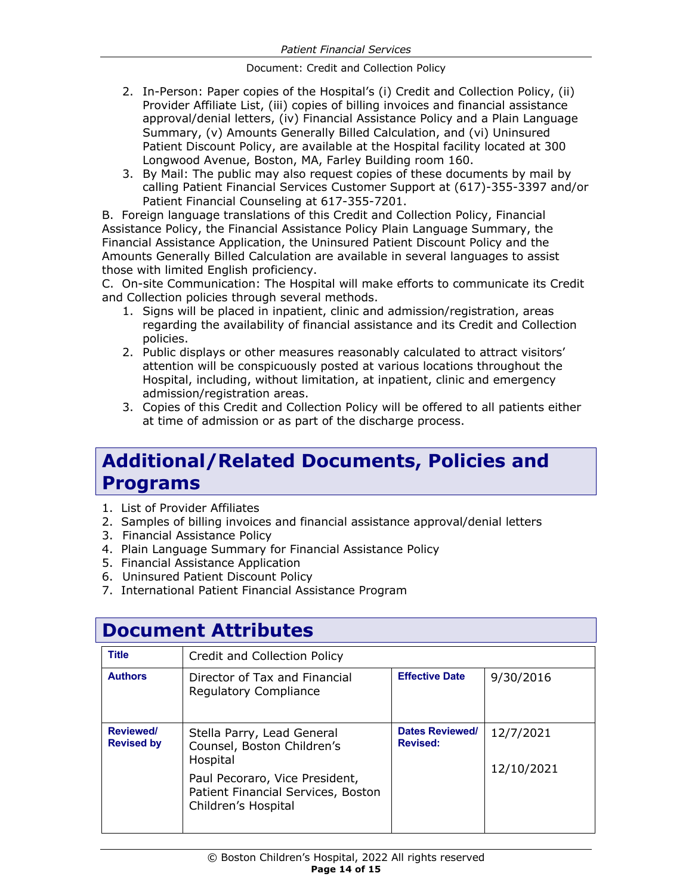- 2. In-Person: Paper copies of the Hospital's (i) Credit and Collection Policy, (ii) Provider Affiliate List, (iii) copies of billing invoices and financial assistance approval/denial letters, (iv) Financial Assistance Policy and a Plain Language Summary, (v) Amounts Generally Billed Calculation, and (vi) Uninsured Patient Discount Policy, are available at the Hospital facility located at 300 Longwood Avenue, Boston, MA, Farley Building room 160.
- 3. By Mail: The public may also request copies of these documents by mail by calling Patient Financial Services Customer Support at (617)-355-3397 and/or Patient Financial Counseling at 617-355-7201.

B. Foreign language translations of this Credit and Collection Policy, Financial Assistance Policy, the Financial Assistance Policy Plain Language Summary, the Financial Assistance Application, the Uninsured Patient Discount Policy and the Amounts Generally Billed Calculation are available in several languages to assist those with limited English proficiency.

C. On-site Communication: The Hospital will make efforts to communicate its Credit and Collection policies through several methods.

- 1. Signs will be placed in inpatient, clinic and admission/registration, areas regarding the availability of financial assistance and its Credit and Collection policies.
- 2. Public displays or other measures reasonably calculated to attract visitors' attention will be conspicuously posted at various locations throughout the Hospital, including, without limitation, at inpatient, clinic and emergency admission/registration areas.
- 3. Copies of this Credit and Collection Policy will be offered to all patients either at time of admission or as part of the discharge process.

# **Additional/Related Documents, Policies and Programs**

- 1. List of Provider Affiliates
- 2. Samples of billing invoices and financial assistance approval/denial letters
- 3. Financial Assistance Policy
- 4. Plain Language Summary for Financial Assistance Policy
- 5. Financial Assistance Application
- 6. Uninsured Patient Discount Policy
- 7. International Patient Financial Assistance Program

### **Document Attributes**

| <b>Title</b>                   | Credit and Collection Policy                                                                                                                                        |                                           |                         |
|--------------------------------|---------------------------------------------------------------------------------------------------------------------------------------------------------------------|-------------------------------------------|-------------------------|
| <b>Authors</b>                 | Director of Tax and Financial<br><b>Regulatory Compliance</b>                                                                                                       | <b>Effective Date</b>                     | 9/30/2016               |
| Reviewed/<br><b>Revised by</b> | Stella Parry, Lead General<br>Counsel, Boston Children's<br>Hospital<br>Paul Pecoraro, Vice President,<br>Patient Financial Services, Boston<br>Children's Hospital | <b>Dates Reviewed/</b><br><b>Revised:</b> | 12/7/2021<br>12/10/2021 |